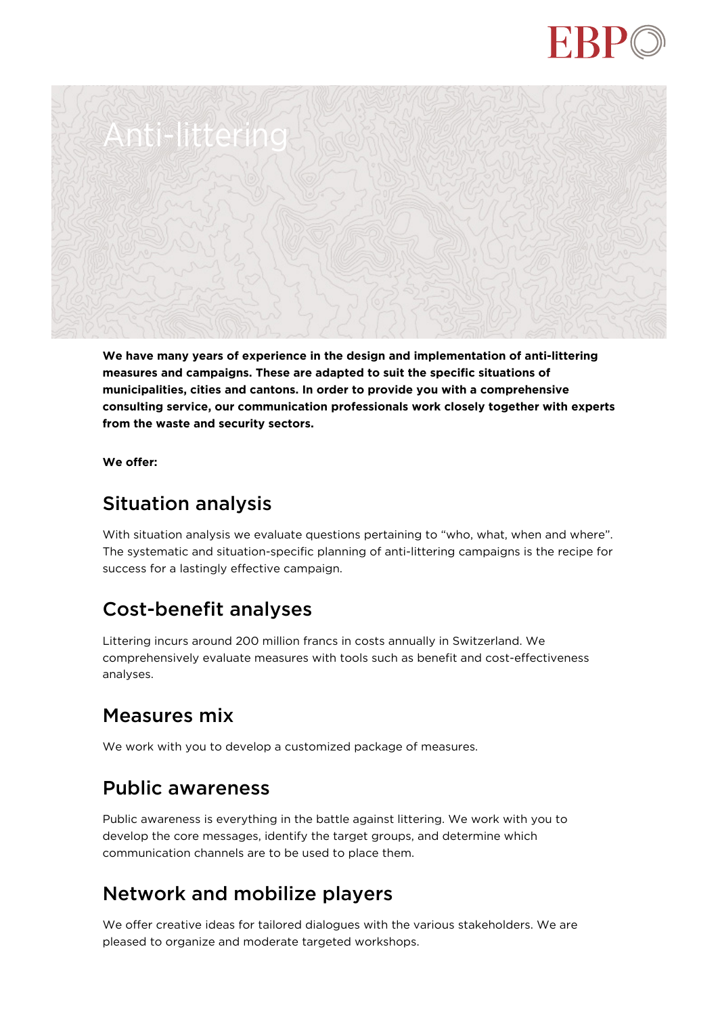



**We have many years of experience in the design and implementation of anti-littering measures and campaigns. These are adapted to suit the specific situations of municipalities, cities and cantons. In order to provide you with a comprehensive consulting service, our communication professionals work closely together with experts from the waste and security sectors.**

**We offer:**

### Situation analysis

With situation analysis we evaluate questions pertaining to "who, what, when and where". The systematic and situation-specific planning of anti-littering campaigns is the recipe for success for a lastingly effective campaign.

# Cost-benefit analyses

Littering incurs around 200 million francs in costs annually in Switzerland. We comprehensively evaluate measures with tools such as benefit and cost-effectiveness analyses.

### Measures mix

We work with you to develop a customized package of measures.

### Public awareness

Public awareness is everything in the battle against littering. We work with you to develop the core messages, identify the target groups, and determine which communication channels are to be used to place them.

### Network and mobilize players

We offer creative ideas for tailored dialogues with the various stakeholders. We are pleased to organize and moderate targeted workshops.